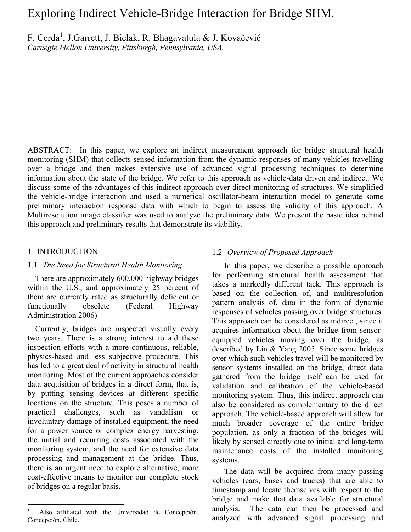# Exploring Indirect Vehicle-Bridge Interaction for Bridge SHM.

F. Cerda<sup>1</sup>, J.Garrett, J. Bielak, R. Bhagavatula & J. Kovačević *Carnegie Mellon University, Pittsburgh, Pennsylvania, USA.* 

ABSTRACT: In this paper, we explore an indirect measurement approach for bridge structural health monitoring (SHM) that collects sensed information from the dynamic responses of many vehicles travelling over a bridge and then makes extensive use of advanced signal processing techniques to determine information about the state of the bridge. We refer to this approach as vehicle-data driven and indirect. We discuss some of the advantages of this indirect approach over direct monitoring of structures. We simplified the vehicle-bridge interaction and used a numerical oscillator-beam interaction model to generate some preliminary interaction response data with which to begin to assess the validity of this approach. A Multiresolution image classifier was used to analyze the preliminary data. We present the basic idea behind this approach and preliminary results that demonstrate its viability.

#### 1 INTRODUCTION

 $\overline{a}$ 

#### 1.1 *The Need for Structural Health Monitoring*

 There are approximately 600,000 highway bridges within the U.S., and approximately 25 percent of them are currently rated as structurally deficient or functionally obsolete (Federal Highway Administration 2006)

 Currently, bridges are inspected visually every two years. There is a strong interest to aid these inspection efforts with a more continuous, reliable, physics-based and less subjective procedure. This has led to a great deal of activity in structural health monitoring. Most of the current approaches consider data acquisition of bridges in a direct form, that is, by putting sensing devices at different specific locations on the structure. This poses a number of practical challenges, such as vandalism or involuntary damage of installed equipment, the need for a power source or complex energy harvesting, the initial and recurring costs associated with the monitoring system, and the need for extensive data processing and management at the bridge. Thus, there is an urgent need to explore alternative, more cost-effective means to monitor our complete stock of bridges on a regular basis.

#### 1.2 *Overview of Proposed Approach*

In this paper, we describe a possible approach for performing structural health assessment that takes a markedly different tack. This approach is based on the collection of, and multiresolution pattern analysis of, data in the form of dynamic responses of vehicles passing over bridge structures. This approach can be considered as indirect, since it acquires information about the bridge from sensorequipped vehicles moving over the bridge, as described by Lin & Yang 2005. Since some bridges over which such vehicles travel will be monitored by sensor systems installed on the bridge, direct data gathered from the bridge itself can be used for validation and calibration of the vehicle-based monitoring system. Thus, this indirect approach can also be considered as complementary to the direct approach. The vehicle-based approach will allow for much broader coverage of the entire bridge population, as only a fraction of the bridges will likely by sensed directly due to initial and long-term maintenance costs of the installed monitoring systems.

The data will be acquired from many passing vehicles (cars, buses and trucks) that are able to timestamp and locate themselves with respect to the bridge and make that data available for structural analysis. The data can then be processed and analyzed with advanced signal processing and

<sup>1</sup> Also affiliated with the Universidad de Concepción, Concepción, Chile.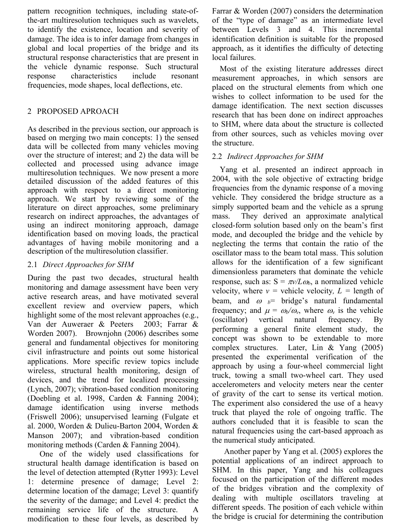pattern recognition techniques, including state-ofthe-art multiresolution techniques such as wavelets, to identify the existence, location and severity of damage. The idea is to infer damage from changes in global and local properties of the bridge and its structural response characteristics that are present in the vehicle dynamic response. Such structural response characteristics include resonant frequencies, mode shapes, local deflections, etc.

# 2 PROPOSED APROACH

As described in the previous section, our approach is based on merging two main concepts: 1) the sensed data will be collected from many vehicles moving over the structure of interest; and 2) the data will be collected and processed using advance image multiresolution techniques. We now present a more detailed discussion of the added features of this approach with respect to a direct monitoring approach. We start by reviewing some of the literature on direct approaches, some preliminary research on indirect approaches, the advantages of using an indirect monitoring approach, damage identification based on moving loads, the practical advantages of having mobile monitoring and a description of the multiresolution classifier.

# 2.1 *Direct Approaches for SHM*

During the past two decades, structural health monitoring and damage assessment have been very active research areas, and have motivated several excellent review and overview papers, which highlight some of the most relevant approaches (e.g., Van der Auweraer & Peeters 2003; Farrar & Worden 2007). Brownjohn (2006) describes some general and fundamental objectives for monitoring civil infrastructure and points out some historical applications. More specific review topics include wireless, structural health monitoring, design of devices, and the trend for localized processing (Lynch, 2007); vibration-based condition monitoring (Doebling et al. 1998, Carden & Fanning 2004); damage identification using inverse methods (Friswell 2006); unsupervised learning (Fulgate et al. 2000, Worden & Dulieu-Barton 2004, Worden & Manson 2007); and vibration-based condition monitoring methods (Carden & Fanning 2004).

One of the widely used classifications for structural health damage identification is based on the level of detection attempted (Rytter 1993): Level 1: determine presence of damage; Level 2: determine location of the damage; Level 3: quantify the severity of the damage; and Level 4: predict the remaining service life of the structure. A modification to these four levels, as described by Farrar & Worden (2007) considers the determination of the "type of damage" as an intermediate level between Levels 3 and 4. This incremental identification definition is suitable for the proposed approach, as it identifies the difficulty of detecting local failures.

 Most of the existing literature addresses direct measurement approaches, in which sensors are placed on the structural elements from which one wishes to collect information to be used for the damage identification. The next section discusses research that has been done on indirect approaches to SHM, where data about the structure is collected from other sources, such as vehicles moving over the structure.

# 2.2 *Indirect Approaches for SHM*

 Yang et al. presented an indirect approach in 2004, with the sole objective of extracting bridge frequencies from the dynamic response of a moving vehicle. They considered the bridge structure as a simply supported beam and the vehicle as a sprung mass. They derived an approximate analytical closed-form solution based only on the beam's first mode, and decoupled the bridge and the vehicle by neglecting the terms that contain the ratio of the oscillator mass to the beam total mass. This solution allows for the identification of a few significant dimensionless parameters that dominate the vehicle response, such as:  $S = \pi v / L \omega_b$ , a normalized vehicle velocity, where  $v =$  vehicle velocity,  $L =$  length of beam, and  $\omega_b$ = bridge's natural fundamental frequency; and  $\mu = \omega_b/\omega_v$ , where  $\omega_v$  is the vehicle (oscillator) vertical natural frequency. By performing a general finite element study, the concept was shown to be extendable to more complex structures. Later, Lin & Yang (2005) presented the experimental verification of the approach by using a four-wheel commercial light truck, towing a small two-wheel cart. They used accelerometers and velocity meters near the center of gravity of the cart to sense its vertical motion. The experiment also considered the use of a heavy truck that played the role of ongoing traffic. The authors concluded that it is feasible to scan the natural frequencies using the cart-based approach as the numerical study anticipated.

Another paper by Yang et al. (2005) explores the potential applications of an indirect approach to SHM. In this paper, Yang and his colleagues focused on the participation of the different modes of the bridges vibration and the complexity of dealing with multiple oscillators traveling at different speeds. The position of each vehicle within the bridge is crucial for determining the contribution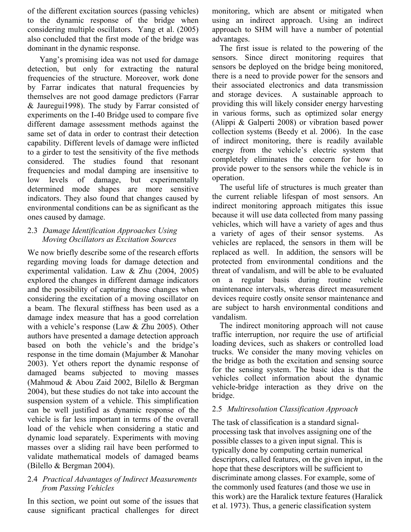of the different excitation sources (passing vehicles) to the dynamic response of the bridge when considering multiple oscillators. Yang et al. (2005) also concluded that the first mode of the bridge was dominant in the dynamic response.

Yang's promising idea was not used for damage detection, but only for extracting the natural frequencies of the structure. Moreover, work done by Farrar indicates that natural frequencies by themselves are not good damage predictors (Farrar & Jauregui1998). The study by Farrar consisted of experiments on the I-40 Bridge used to compare five different damage assessment methods against the same set of data in order to contrast their detection capability. Different levels of damage were inflicted to a girder to test the sensitivity of the five methods considered. The studies found that resonant frequencies and modal damping are insensitive to low levels of damage, but experimentally determined mode shapes are more sensitive indicators. They also found that changes caused by environmental conditions can be as significant as the ones caused by damage.

#### 2.3 *Damage Identification Approaches Using Moving Oscillators as Excitation Sources*

We now briefly describe some of the research efforts regarding moving loads for damage detection and experimental validation. Law & Zhu (2004, 2005) explored the changes in different damage indicators and the possibility of capturing those changes when considering the excitation of a moving oscillator on a beam. The flexural stiffness has been used as a damage index measure that has a good correlation with a vehicle's response (Law & Zhu 2005). Other authors have presented a damage detection approach based on both the vehicle's and the bridge's response in the time domain (Majumber & Manohar 2003). Yet others report the dynamic response of damaged beams subjected to moving masses (Mahmoud & Abou Zaid 2002, Bilello & Bergman 2004), but these studies do not take into account the suspension system of a vehicle. This simplification can be well justified as dynamic response of the vehicle is far less important in terms of the overall load of the vehicle when considering a static and dynamic load separately. Experiments with moving masses over a sliding rail have been performed to validate mathematical models of damaged beams (Bilello & Bergman 2004).

#### 2.4 *Practical Advantages of Indirect Measurements from Passing Vehicles*

In this section, we point out some of the issues that cause significant practical challenges for direct monitoring, which are absent or mitigated when using an indirect approach. Using an indirect approach to SHM will have a number of potential advantages.

 The first issue is related to the powering of the sensors. Since direct monitoring requires that sensors be deployed on the bridge being monitored, there is a need to provide power for the sensors and their associated electronics and data transmission and storage devices. A sustainable approach to providing this will likely consider energy harvesting in various forms, such as optimized solar energy (Alippi & Galperti 2008) or vibration based power collection systems (Beedy et al. 2006). In the case of indirect monitoring, there is readily available energy from the vehicle's electric system that completely eliminates the concern for how to provide power to the sensors while the vehicle is in operation.

 The useful life of structures is much greater than the current reliable lifespan of most sensors. An indirect monitoring approach mitigates this issue because it will use data collected from many passing vehicles, which will have a variety of ages and thus a variety of ages of their sensor systems. As vehicles are replaced, the sensors in them will be replaced as well. In addition, the sensors will be protected from environmental conditions and the threat of vandalism, and will be able to be evaluated on a regular basis during routine vehicle maintenance intervals, whereas direct measurement devices require costly onsite sensor maintenance and are subject to harsh environmental conditions and vandalism.

 The indirect monitoring approach will not cause traffic interruption, nor require the use of artificial loading devices, such as shakers or controlled load trucks. We consider the many moving vehicles on the bridge as both the excitation and sensing source for the sensing system. The basic idea is that the vehicles collect information about the dynamic vehicle-bridge interaction as they drive on the bridge.

## 2.5 *Multiresolution Classification Approach*

The task of classification is a standard signalprocessing task that involves assigning one of the possible classes to a given input signal. This is typically done by computing certain numerical descriptors, called features, on the given input, in the hope that these descriptors will be sufficient to discriminate among classes. For example, some of the commonly used features (and those we use in this work) are the Haralick texture features (Haralick et al. 1973). Thus, a generic classification system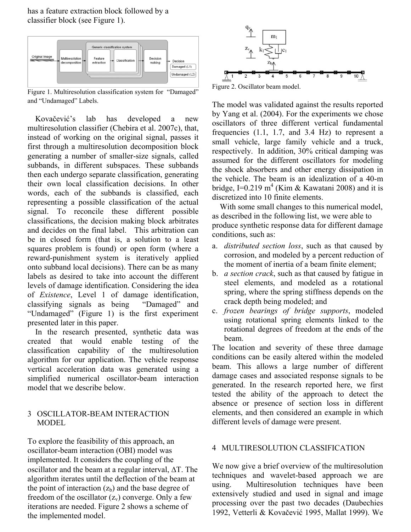has a feature extraction block followed by a classifier block (see Figure 1).



Figure 1. Multiresolution classification system for "Damaged" and "Undamaged" Labels.

Kovačević's lab has developed a new multiresolution classifier (Chebira et al. 2007c), that, instead of working on the original signal, passes it first through a multiresolution decomposition block generating a number of smaller-size signals, called subbands, in different subspaces. These subbands then each undergo separate classification, generating their own local classification decisions. In other words, each of the subbands is classified, each representing a possible classification of the actual signal. To reconcile these different possible classifications, the decision making block arbitrates and decides on the final label. This arbitration can be in closed form (that is, a solution to a least squares problem is found) or open form (where a reward-punishment system is iteratively applied onto subband local decisions). There can be as many labels as desired to take into account the different levels of damage identification. Considering the idea of *Existence*, Level 1 of damage identification, classifying signals as being "Damaged" and "Undamaged" (Figure 1) is the first experiment presented later in this paper.

 In the research presented, synthetic data was created that would enable testing of the classification capability of the multiresolution algorithm for our application. The vehicle response vertical acceleration data was generated using a simplified numerical oscillator-beam interaction model that we describe below.

#### 3 OSCILLATOR-BEAM INTERACTION MODEL

To explore the feasibility of this approach, an oscillator-beam interaction (OBI) model was implemented. It considers the coupling of the oscillator and the beam at a regular interval, ∆T. The algorithm iterates until the deflection of the beam at the point of interaction  $(z_b)$  and the base degree of freedom of the oscillator  $(z_v)$  converge. Only a few iterations are needed. Figure 2 shows a scheme of the implemented model.



Figure 2. Oscillator beam model.

The model was validated against the results reported by Yang et al. (2004). For the experiments we chose oscillators of three different vertical fundamental frequencies (1.1, 1.7, and 3.4 Hz) to represent a small vehicle, large family vehicle and a truck, respectively. In addition, 30% critical damping was assumed for the different oscillators for modeling the shock absorbers and other energy dissipation in the vehicle. The beam is an idealization of a 40-m bridge, I=0.219  $m<sup>4</sup>$  (Kim & Kawatani 2008) and it is discretized into 10 finite elements.

With some small changes to this numerical model, as described in the following list, we were able to produce synthetic response data for different damage conditions, such as:

- a. *distributed section loss*, such as that caused by corrosion, and modeled by a percent reduction of the moment of inertia of a beam finite element;
- b. *a section crack*, such as that caused by fatigue in steel elements, and modeled as a rotational spring, where the spring stiffness depends on the crack depth being modeled; and
- c. *frozen bearings of bridge supports*, modeled using rotational spring elements linked to the rotational degrees of freedom at the ends of the beam.

The location and severity of these three damage conditions can be easily altered within the modeled beam. This allows a large number of different damage cases and associated response signals to be generated. In the research reported here, we first tested the ability of the approach to detect the absence or presence of section loss in different elements, and then considered an example in which different levels of damage were present.

## 4 MULTIRESOLUTION CLASSIFICATION

We now give a brief overview of the multiresolution techniques and wavelet-based approach we are using. Multiresolution techniques have been extensively studied and used in signal and image processing over the past two decades (Daubechies 1992, Vetterli & Kovačević 1995, Mallat 1999). We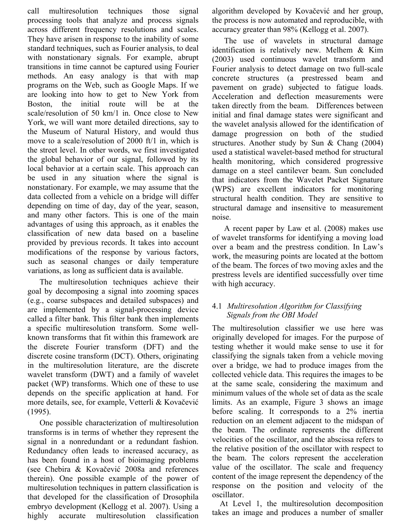call multiresolution techniques those signal processing tools that analyze and process signals across different frequency resolutions and scales. They have arisen in response to the inability of some standard techniques, such as Fourier analysis, to deal with nonstationary signals. For example, abrupt transitions in time cannot be captured using Fourier methods. An easy analogy is that with map programs on the Web, such as Google Maps. If we are looking into how to get to New York from Boston, the initial route will be at the scale/resolution of 50 km/1 in. Once close to New York, we will want more detailed directions, say to the Museum of Natural History, and would thus move to a scale/resolution of 2000 ft/1 in, which is the street level. In other words, we first investigated the global behavior of our signal, followed by its local behavior at a certain scale. This approach can be used in any situation where the signal is nonstationary. For example, we may assume that the data collected from a vehicle on a bridge will differ depending on time of day, day of the year, season, and many other factors. This is one of the main advantages of using this approach, as it enables the classification of new data based on a baseline provided by previous records. It takes into account modifications of the response by various factors, such as seasonal changes or daily temperature variations, as long as sufficient data is available.

The multiresolution techniques achieve their goal by decomposing a signal into zooming spaces (e.g., coarse subspaces and detailed subspaces) and are implemented by a signal-processing device called a filter bank. This filter bank then implements a specific multiresolution transform. Some wellknown transforms that fit within this framework are the discrete Fourier transform (DFT) and the discrete cosine transform (DCT). Others, originating in the multiresolution literature, are the discrete wavelet transform (DWT) and a family of wavelet packet (WP) transforms. Which one of these to use depends on the specific application at hand. For more details, see, for example, Vetterli & Kovačević (1995).

One possible characterization of multiresolution transforms is in terms of whether they represent the signal in a nonredundant or a redundant fashion. Redundancy often leads to increased accuracy, as has been found in a host of bioimaging problems (see Chebira & Kovačević 2008a and references therein). One possible example of the power of multiresolution techniques in pattern classification is that developed for the classification of Drosophila embryo development (Kellogg et al. 2007). Using a highly accurate multiresolution classification algorithm developed by Kovačević and her group, the process is now automated and reproducible, with accuracy greater than 98% (Kellogg et al. 2007).

The use of wavelets in structural damage identification is relatively new. Melhem & Kim (2003) used continuous wavelet transform and Fourier analysis to detect damage on two full-scale concrete structures (a prestressed beam and pavement on grade) subjected to fatigue loads. Acceleration and deflection measurements were taken directly from the beam. Differences between initial and final damage states were significant and the wavelet analysis allowed for the identification of damage progression on both of the studied structures. Another study by Sun & Chang (2004) used a statistical wavelet-based method for structural health monitoring, which considered progressive damage on a steel cantilever beam. Sun concluded that indicators from the Wavelet Packet Signature (WPS) are excellent indicators for monitoring structural health condition. They are sensitive to structural damage and insensitive to measurement noise.

A recent paper by Law et al. (2008) makes use of wavelet transforms for identifying a moving load over a beam and the prestress condition. In Law's work, the measuring points are located at the bottom of the beam. The forces of two moving axles and the prestress levels are identified successfully over time with high accuracy.

## 4.1 *Multiresolution Algorithm for Classifying Signals from the OBI Model*

The multiresolution classifier we use here was originally developed for images. For the purpose of testing whether it would make sense to use it for classifying the signals taken from a vehicle moving over a bridge, we had to produce images from the collected vehicle data. This requires the images to be at the same scale, considering the maximum and minimum values of the whole set of data as the scale limits. As an example, Figure 3 shows an image before scaling. It corresponds to a 2% inertia reduction on an element adjacent to the midspan of the beam. The ordinate represents the different velocities of the oscillator, and the abscissa refers to the relative position of the oscillator with respect to the beam. The colors represent the acceleration value of the oscillator. The scale and frequency content of the image represent the dependency of the response on the position and velocity of the oscillator.

At Level 1, the multiresolution decomposition takes an image and produces a number of smaller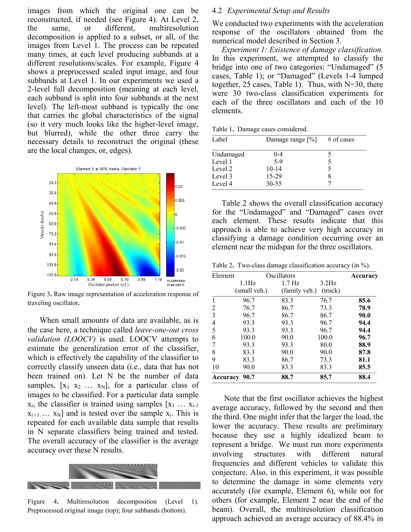images from which the original one can be reconstructed, if needed (see Figure 4). At Level 2, the same, or different, multiresolution decomposition is applied to a subset, or all, of the images from Level 1. The process can be repeated many times, at each level producing subbands at a different resolutions/scales. For example, Figure 4 shows a preprocessed scaled input image, and four subbands at Level 1. In our experiments we used a 2-level full decomposition (meaning at each level, each subband is split into four subbands at the next level). The left-most subband is typically the one that carries the global characteristics of the signal (so it very much looks like the higher-level image, but blurred), while the other three carry the necessary details to reconstruct the original (these are the local changes, or, edges).



Figure 3**.** Raw image representation of acceleration response of traveling oscillator**.** 

When small amounts of data are available, as is the case here, a technique called *leave-one-out cross validation (LOOCV)* is used. LOOCV attempts to estimate the generalization error of the classifier, which is effectively the capability of the classifier to correctly classify unseen data (i.e., data that has not been trained on). Let N be the number of data samples,  $[x_1 \ x_2 \ \dots \ x_N]$ , for a particular class of images to be classified. For a particular data sample  $x_i$ , the classifier is trained using samples  $[x_1 \ldots x_{i-1}]$  $x_{i+1}$  …  $x_N$ ] and is tested over the sample  $x_i$ . This is repeated for each available data sample that results in N separate classifiers being trained and tested. The overall accuracy of the classifier is the average accuracy over these N results.



Figure 4. Multiresolution decomposition (Level 1). Preprocessed original image (top); four subbands (bottom).

#### 4.2 *Experimental Setup and Results*

We conducted two experiments with the acceleration response of the oscillators obtained from the numerical model described in Section 3.

*Experiment 1: Existence of damage classification.* In this experiment, we attempted to classify the bridge into one of two categories: "Undamaged" (5 cases, Table 1); or "Damaged" (Levels 1-4 lumped together, 25 cases, Table 1). Thus, with N=30, there were 30 two-class classification experiments for each of the three oscillators and each of the 10 elements.

Table 1. Damage cases considered.

| Label     | Damage range $[\%]$ | $#$ of cases |
|-----------|---------------------|--------------|
| Undamaged | $0 - 4$             |              |
| Level 1   | $5-9$               |              |
| Level 2   | $10-14$             |              |
| Level 3   | 15-29               | 8            |
| Level 4   | 30-55               |              |

Table 2 shows the overall classification accuracy for the "Undamaged" and "Damaged" cases over each element. These results indicate that this approach is able to achieve very high accuracy in classifying a damage condition occurring over an element near the midspan for the three oscillators.

Table 2. Two-class damage classification accuracy (in %).

| Element  | Oscillators  |                          |          | Accuracy |
|----------|--------------|--------------------------|----------|----------|
|          | 1.1Hz        | $1.7\,\mathrm{Hz}$       | $3.2$ Hz |          |
|          | (small veh.) | (family veh.)<br>(truck) |          |          |
|          | 96.7         | 83.3                     | 76.7     | 85.6     |
| 2        | 76.7         | 86.7                     | 73.3     | 78.9     |
| 3        | 96.7         | 86.7                     | 86.7     | 90.0     |
| 4        | 93.3         | 93.3                     | 96.7     | 94.4     |
| 5        | 93.3         | 93.3                     | 96.7     | 94.4     |
| 6        | 100.0        | 90.0                     | 100.0    | 96.7     |
| 7        | 93.3         | 93.3                     | 80.0     | 88.9     |
| 8        | 83.3         | 90.0                     | 90.0     | 87.8     |
| 9        | 83.3         | 86.7                     | 73.3     | 81.1     |
| 10       | 90.0         | 83.3                     | 83.3     | 85.5     |
| Accuracy | 90.7         | 88.7                     | 85.7     | 88.4     |

Note that the first oscillator achieves the highest average accuracy, followed by the second and then the third. One might infer that the larger the load, the lower the accuracy. These results are preliminary because they use a highly idealized beam to represent a bridge. We must run more experiments involving structures with different natural frequencies and different vehicles to validate this conjecture. Also, in this experiment, it was possible to determine the damage in some elements very accurately (for example, Element 6), while not for others (for example, Element 2 near the end of the beam). Overall, the multiresolution classification approach achieved an average accuracy of 88.4% in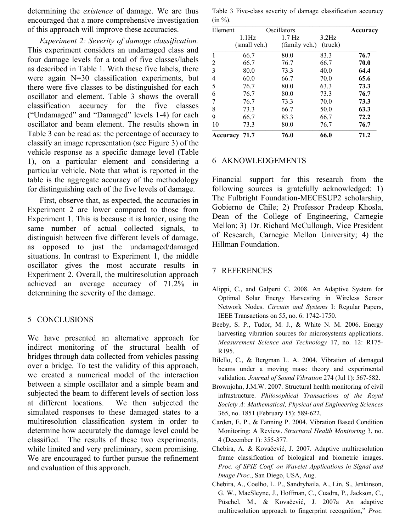determining the *existence* of damage. We are thus encouraged that a more comprehensive investigation of this approach will improve these accuracies.

*Experiment 2: Severity of damage classification.*  This experiment considers an undamaged class and four damage levels for a total of five classes/labels as described in Table 1. With these five labels, there were again N=30 classification experiments, but there were five classes to be distinguished for each oscillator and element. Table 3 shows the overall classification accuracy for the five classes ("Undamaged" and "Damaged" levels 1-4) for each oscillator and beam element. The results shown in Table 3 can be read as: the percentage of accuracy to classify an image representation (see Figure 3) of the vehicle response as a specific damage level (Table 1), on a particular element and considering a particular vehicle. Note that what is reported in the table is the aggregate accuracy of the methodology for distinguishing each of the five levels of damage.

First, observe that, as expected, the accuracies in Experiment 2 are lower compared to those from Experiment 1. This is because it is harder, using the same number of actual collected signals, to distinguish between five different levels of damage, as opposed to just the undamaged/damaged situations. In contrast to Experiment 1, the middle oscillator gives the most accurate results in Experiment 2. Overall, the multiresolution approach achieved an average accuracy of 71.2% in determining the severity of the damage.

## 5 CONCLUSIONS

We have presented an alternative approach for indirect monitoring of the structural health of bridges through data collected from vehicles passing over a bridge. To test the validity of this approach, we created a numerical model of the interaction between a simple oscillator and a simple beam and subjected the beam to different levels of section loss at different locations. We then subjected the simulated responses to these damaged states to a multiresolution classification system in order to determine how accurately the damage level could be classified. The results of these two experiments, while limited and very preliminary, seem promising. We are encouraged to further pursue the refinement and evaluation of this approach.

Table 3 Five-class severity of damage classification accuracy  $(in \%)$ 

| Element      |                                  | Oscillators                         |                  |      |
|--------------|----------------------------------|-------------------------------------|------------------|------|
|              | $1.1\mathrm{Hz}$<br>(small veh.) | $1.7\,\mathrm{Hz}$<br>(family veh.) | 3.2Hz<br>(truck) |      |
| $\mathbf{1}$ | 66.7                             | 80.0                                | 83.3             | 76.7 |
| 2            | 66.7                             | 76.7                                | 66.7             | 70.0 |
| 3            | 80.0                             | 73.3                                | 40.0             | 64.4 |
| 4            | 60.0                             | 66.7                                | 70.0             | 65.6 |
| 5            | 76.7                             | 80.0                                | 63.3             | 73.3 |
| 6            | 76.7                             | 80.0                                | 73.3             | 76.7 |
| 7            | 76.7                             | 73.3                                | 70.0             | 73.3 |
| 8            | 73.3                             | 66.7                                | 50.0             | 63.3 |
| 9            | 66.7                             | 83.3                                | 66.7             | 72.2 |
| 10           | 73.3                             | 80.0                                | 76.7             | 76.7 |
| Accuracy     | 71.7                             | 76.0                                | 66.0             | 71.2 |

#### 6 AKNOWLEDGEMENTS

Financial support for this research from the following sources is gratefully acknowledged: 1) The Fulbright Foundation-MECESUP2 scholarship, Gobierno de Chile; 2) Professor Pradeep Khosla, Dean of the College of Engineering, Carnegie Mellon; 3) Dr. Richard McCullough, Vice President of Research, Carnegie Mellon University; 4) the Hillman Foundation.

## 7 REFERENCES

- Alippi, C., and Galperti C. 2008. An Adaptive System for Optimal Solar Energy Harvesting in Wireless Sensor Network Nodes. *Circuits and Systems* I: Regular Papers, IEEE Transactions on 55, no. 6: 1742-1750.
- Beeby, S. P., Tudor, M. J., & White N. M. 2006. Energy harvesting vibration sources for microsystems applications. *Measurement Science and Technology* 17, no. 12: R175- R195.
- Bilello, C., & Bergman L. A. 2004. Vibration of damaged beams under a moving mass: theory and experimental validation*. Journal of Sound Vibration* 274 (Jul 1): 567-582.
- Brownjohn, J.M.W. 2007. Structural health monitoring of civil infrastructure. *Philosophical Transactions of the Royal Society A: Mathematical, Physical and Engineering Sciences* 365, no. 1851 (February 15): 589-622.
- Carden, E. P., & Fanning P. 2004. Vibration Based Condition Monitoring: A Review. *Structural Health Monitoring* 3, no. 4 (December 1): 355-377.
- Chebira, A. & Kovačević, J. 2007. Adaptive multiresolution frame classification of biological and biometric images. *Proc. of SPIE Conf. on Wavelet Applications in Signal and Image Proc*., San Diego, USA, Aug.
- Chebira, A., Coelho, L. P., Sandryhaila, A., Lin, S., Jenkinson, G. W., MacSleyne, J., Hoffman, C., Cuadra, P., Jackson, C., Püschel, M., & Kovačević, J. 2007a An adaptive multiresolution approach to fingerprint recognition," *Proc.*